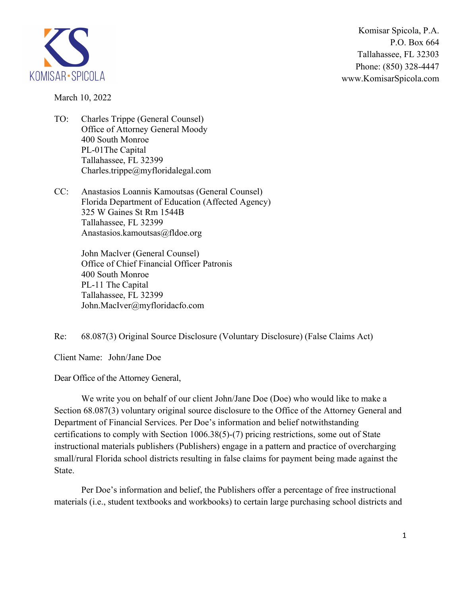

Komisar Spicola, P.A. P.O. Box 664 Tallahassee, FL 32303 Phone: (850) 328-4447 www.KomisarSpicola.com

March 10, 2022

- TO: Charles Trippe (General Counsel) Office of Attorney General Moody 400 South Monroe PL-01The Capital Tallahassee, FL 32399 Charles.trippe@myfloridalegal.com
- CC: Anastasios Loannis Kamoutsas (General Counsel) Florida Department of Education (Affected Agency) 325 W Gaines St Rm 1544B Tallahassee, FL 32399 Anastasios.kamoutsas@fldoe.org

 John Maclver (General Counsel) Office of Chief Financial Officer Patronis 400 South Monroe PL-11 The Capital Tallahassee, FL 32399 John.MacIver@myfloridacfo.com

Re: 68.087(3) Original Source Disclosure (Voluntary Disclosure) (False Claims Act)

Client Name: John/Jane Doe

Dear Office of the Attorney General,

 We write you on behalf of our client John/Jane Doe (Doe) who would like to make a Section 68.087(3) voluntary original source disclosure to the Office of the Attorney General and Department of Financial Services. Per Doe's information and belief notwithstanding certifications to comply with Section 1006.38(5)-(7) pricing restrictions, some out of State instructional materials publishers (Publishers) engage in a pattern and practice of overcharging small/rural Florida school districts resulting in false claims for payment being made against the State.

 Per Doe's information and belief, the Publishers offer a percentage of free instructional materials (i.e., student textbooks and workbooks) to certain large purchasing school districts and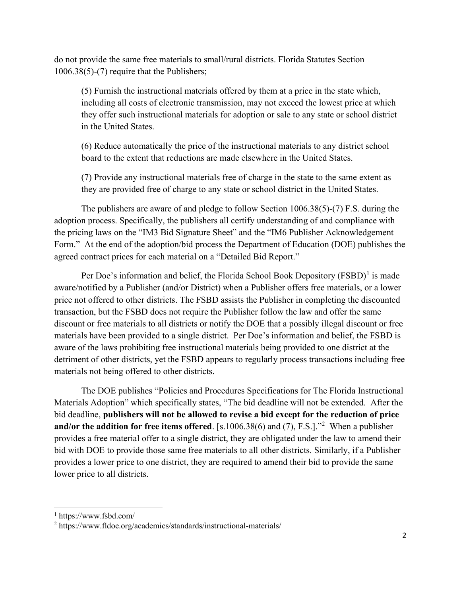do not provide the same free materials to small/rural districts. Florida Statutes Section 1006.38(5)-(7) require that the Publishers;

 (5) Furnish the instructional materials offered by them at a price in the state which, including all costs of electronic transmission, may not exceed the lowest price at which they offer such instructional materials for adoption or sale to any state or school district in the United States.

 (6) Reduce automatically the price of the instructional materials to any district school board to the extent that reductions are made elsewhere in the United States.

 (7) Provide any instructional materials free of charge in the state to the same extent as they are provided free of charge to any state or school district in the United States.

 The publishers are aware of and pledge to follow Section 1006.38(5)-(7) F.S. during the adoption process. Specifically, the publishers all certify understanding of and compliance with the pricing laws on the "IM3 Bid Signature Sheet" and the "IM6 Publisher Acknowledgement Form." At the end of the adoption/bid process the Department of Education (DOE) publishes the agreed contract prices for each material on a "Detailed Bid Report."

Per Doe's information and belief, the Florida School Book Depository  $(FSBD)^1$  is made aware/notified by a Publisher (and/or District) when a Publisher offers free materials, or a lower price not offered to other districts. The FSBD assists the Publisher in completing the discounted transaction, but the FSBD does not require the Publisher follow the law and offer the same discount or free materials to all districts or notify the DOE that a possibly illegal discount or free materials have been provided to a single district. Per Doe's information and belief, the FSBD is aware of the laws prohibiting free instructional materials being provided to one district at the detriment of other districts, yet the FSBD appears to regularly process transactions including free materials not being offered to other districts.

 The DOE publishes "Policies and Procedures Specifications for The Florida Instructional Materials Adoption" which specifically states, "The bid deadline will not be extended. After the bid deadline, **publishers will not be allowed to revise a bid except for the reduction of price and/or the addition for free items offered**. [s.1006.38(6) and (7), F.S.]."<sup>2</sup> When a publisher provides a free material offer to a single district, they are obligated under the law to amend their bid with DOE to provide those same free materials to all other districts. Similarly, if a Publisher provides a lower price to one district, they are required to amend their bid to provide the same lower price to all districts.

<sup>1</sup> https://www.fsbd.com/

<sup>&</sup>lt;sup>2</sup> https://www.fldoe.org/academics/standards/instructional-materials/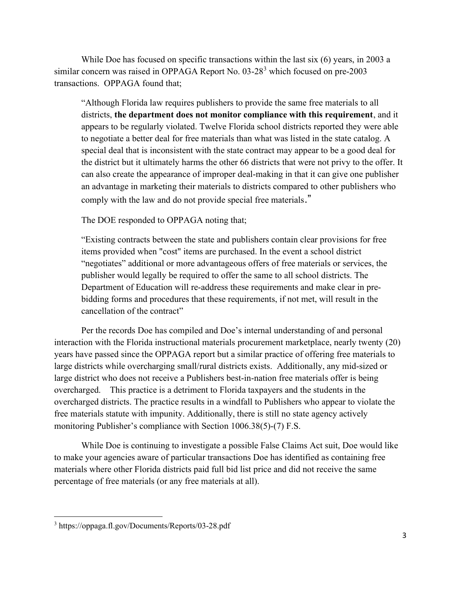While Doe has focused on specific transactions within the last six (6) years, in 2003 a similar concern was raised in OPPAGA Report No. 03-28<sup>3</sup> which focused on pre-2003 transactions. OPPAGA found that;

 "Although Florida law requires publishers to provide the same free materials to all districts, **the department does not monitor compliance with this requirement**, and it appears to be regularly violated. Twelve Florida school districts reported they were able to negotiate a better deal for free materials than what was listed in the state catalog. A special deal that is inconsistent with the state contract may appear to be a good deal for the district but it ultimately harms the other 66 districts that were not privy to the offer. It can also create the appearance of improper deal-making in that it can give one publisher an advantage in marketing their materials to districts compared to other publishers who comply with the law and do not provide special free materials."

The DOE responded to OPPAGA noting that;

 "Existing contracts between the state and publishers contain clear provisions for free items provided when "cost" items are purchased. In the event a school district "negotiates" additional or more advantageous offers of free materials or services, the publisher would legally be required to offer the same to all school districts. The Department of Education will re-address these requirements and make clear in pre bidding forms and procedures that these requirements, if not met, will result in the cancellation of the contract"

 Per the records Doe has compiled and Doe's internal understanding of and personal interaction with the Florida instructional materials procurement marketplace, nearly twenty (20) years have passed since the OPPAGA report but a similar practice of offering free materials to large districts while overcharging small/rural districts exists. Additionally, any mid-sized or large district who does not receive a Publishers best-in-nation free materials offer is being overcharged. This practice is a detriment to Florida taxpayers and the students in the overcharged districts. The practice results in a windfall to Publishers who appear to violate the free materials statute with impunity. Additionally, there is still no state agency actively monitoring Publisher's compliance with Section 1006.38(5)-(7) F.S.

 While Doe is continuing to investigate a possible False Claims Act suit, Doe would like to make your agencies aware of particular transactions Doe has identified as containing free materials where other Florida districts paid full bid list price and did not receive the same percentage of free materials (or any free materials at all).

<sup>3</sup> https://oppaga.fl.gov/Documents/Reports/03-28.pdf